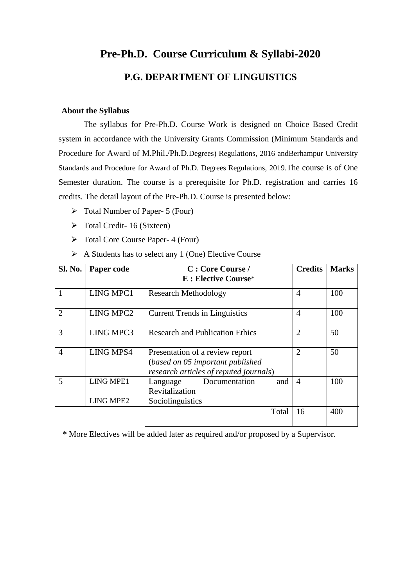# **Pre-Ph.D. Course Curriculum & Syllabi-2020 P.G. DEPARTMENT OF LINGUISTICS**

## **About the Syllabus**

The syllabus for Pre-Ph.D. Course Work is designed on Choice Based Credit system in accordance with the University Grants Commission (Minimum Standards and Procedure for Award of M.Phil./Ph.D.Degrees) Regulations, 2016 andBerhampur University Standards and Procedure for Award of Ph.D. Degrees Regulations, 2019.The course is of One Semester duration. The course is a prerequisite for Ph.D. registration and carries 16 credits. The detail layout of the Pre-Ph.D. Course is presented below:

- $\triangleright$  Total Number of Paper- 5 (Four)
- $\triangleright$  Total Credit- 16 (Sixteen)
- Total Core Course Paper- 4 (Four)
- $\triangleright$  A Students has to select any 1 (One) Elective Course

| Sl. No.        | Paper code                           | C: Core Course /<br><b>E</b> : Elective Course*                                                                | <b>Credits</b> | <b>Marks</b> |
|----------------|--------------------------------------|----------------------------------------------------------------------------------------------------------------|----------------|--------------|
|                | LING MPC1                            | <b>Research Methodology</b>                                                                                    | $\overline{4}$ | 100          |
| $\overline{2}$ | LING MPC2                            | <b>Current Trends in Linguistics</b>                                                                           | $\overline{4}$ | 100          |
| 3              | LING MPC3                            | <b>Research and Publication Ethics</b>                                                                         | $\overline{2}$ | 50           |
| $\overline{4}$ | <b>LING MPS4</b>                     | Presentation of a review report<br>(based on 05 important published)<br>research articles of reputed journals) | $\overline{2}$ | 50           |
| 5              | <b>LING MPE1</b><br><b>LING MPE2</b> | Documentation<br>and<br>Language<br>Revitalization<br>Sociolinguistics                                         | $\overline{4}$ | 100          |
|                |                                      | Total                                                                                                          | 16             | 400          |

**\*** More Electives will be added later as required and/or proposed by a Supervisor.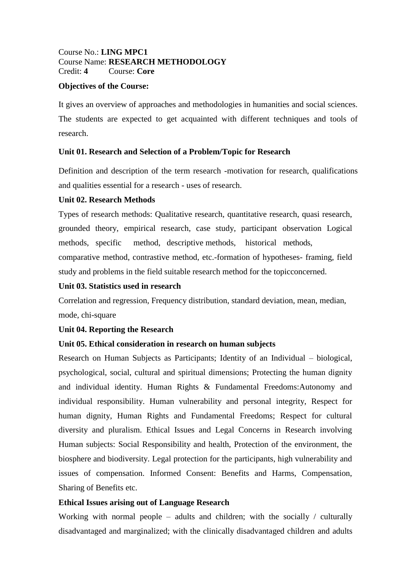## Course No.: **LING MPC1** Course Name: **RESEARCH METHODOLOGY** Credit: **4** Course: **Core**

## **Objectives of the Course:**

It gives an overview of approaches and methodologies in humanities and social sciences. The students are expected to get acquainted with different techniques and tools of research.

## **Unit 01. Research and Selection of a Problem/Topic for Research**

Definition and description of the term research -motivation for research, qualifications and qualities essential for a research - uses of research.

## **Unit 02. Research Methods**

Types of research methods: Qualitative research, quantitative research, quasi research, grounded theory, empirical research, case study, participant observation Logical methods, specific method, descriptive methods, historical methods, comparative method, contrastive method, etc.-formation of hypotheses- framing, field study and problems in the field suitable research method for the topicconcerned.

# **Unit 03. Statistics used in research**

Correlation and regression, Frequency distribution, standard deviation, mean, median, mode, chi-square

# **Unit 04. Reporting the Research**

# **Unit 05. Ethical consideration in research on human subjects**

Research on Human Subjects as Participants; Identity of an Individual – biological, psychological, social, cultural and spiritual dimensions; Protecting the human dignity and individual identity. Human Rights & Fundamental Freedoms:Autonomy and individual responsibility. Human vulnerability and personal integrity, Respect for human dignity, Human Rights and Fundamental Freedoms; Respect for cultural diversity and pluralism. Ethical Issues and Legal Concerns in Research involving Human subjects: Social Responsibility and health, Protection of the environment, the biosphere and biodiversity. Legal protection for the participants, high vulnerability and issues of compensation. Informed Consent: Benefits and Harms, Compensation, Sharing of Benefits etc.

# **Ethical Issues arising out of Language Research**

Working with normal people – adults and children; with the socially / culturally disadvantaged and marginalized; with the clinically disadvantaged children and adults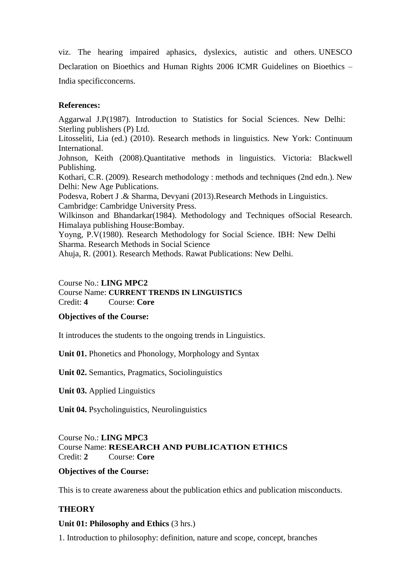viz. The hearing impaired aphasics, dyslexics, autistic and others. UNESCO Declaration on Bioethics and Human Rights 2006 ICMR Guidelines on Bioethics – India specificconcerns.

## **References:**

Aggarwal J.P(1987). Introduction to Statistics for Social Sciences. New Delhi: Sterling publishers (P) Ltd.

Litosseliti, Lia (ed.) (2010). Research methods in linguistics. New York: Continuum International.

Johnson, Keith (2008).Quantitative methods in linguistics. Victoria: Blackwell Publishing.

Kothari, C.R. (2009). Research methodology : methods and techniques (2nd edn.). New Delhi: New Age Publications.

Podesva, Robert J .& Sharma, Devyani (2013).Research Methods in Linguistics. Cambridge: Cambridge University Press.

Wilkinson and Bhandarkar(1984). Methodology and Techniques ofSocial Research. Himalaya publishing House:Bombay.

Yoyng, P.V(1980). Research Methodology for Social Science. IBH: New Delhi Sharma. Research Methods in Social Science

Ahuja, R. (2001). Research Methods. Rawat Publications: New Delhi.

## Course No.: **LING MPC2**

Course Name: **CURRENT TRENDS IN LINGUISTICS** Credit: **4** Course: **Core**

## **Objectives of the Course:**

It introduces the students to the ongoing trends in Linguistics.

**Unit 01.** Phonetics and Phonology, Morphology and Syntax

**Unit 02.** Semantics, Pragmatics, Sociolinguistics

**Unit 03.** Applied Linguistics

**Unit 04.** Psycholinguistics, Neurolinguistics

Course No.: **LING MPC3** Course Name: **RESEARCH AND PUBLICATION ETHICS** Credit: **2** Course: **Core**

## **Objectives of the Course:**

This is to create awareness about the publication ethics and publication misconducts.

# **THEORY**

## **Unit 01: Philosophy and Ethics** (3 hrs.)

1. Introduction to philosophy: definition, nature and scope, concept, branches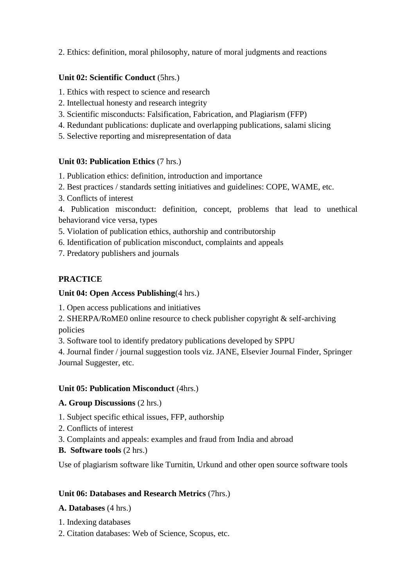2. Ethics: definition, moral philosophy, nature of moral judgments and reactions

# **Unit 02: Scientific Conduct** (5hrs.)

1. Ethics with respect to science and research

- 2. Intellectual honesty and research integrity
- 3. Scientific misconducts: Falsification, Fabrication, and Plagiarism (FFP)
- 4. Redundant publications: duplicate and overlapping publications, salami slicing
- 5. Selective reporting and misrepresentation of data

# **Unit 03: Publication Ethics** (7 hrs.)

1. Publication ethics: definition, introduction and importance

- 2. Best practices / standards setting initiatives and guidelines: COPE, WAME, etc.
- 3. Conflicts of interest

4. Publication misconduct: definition, concept, problems that lead to unethical behaviorand vice versa, types

5. Violation of publication ethics, authorship and contributorship

6. Identification of publication misconduct, complaints and appeals

7. Predatory publishers and journals

# **PRACTICE**

# **Unit 04: Open Access Publishing**(4 hrs.)

1. Open access publications and initiatives

2. SHERPA/RoME0 online resource to check publisher copyright & self-archiving policies

3. Software tool to identify predatory publications developed by SPPU

4. Journal finder / journal suggestion tools viz. JANE, Elsevier Journal Finder, Springer Journal Suggester, etc.

# **Unit 05: Publication Misconduct** (4hrs.)

# **A. Group Discussions** (2 hrs.)

1. Subject specific ethical issues, FFP, authorship

- 2. Conflicts of interest
- 3. Complaints and appeals: examples and fraud from India and abroad
- **B. Software tools** (2 hrs.)

Use of plagiarism software like Turnitin, Urkund and other open source software tools

# **Unit 06: Databases and Research Metrics** (7hrs.)

# **A. Databases** (4 hrs.)

- 1. Indexing databases
- 2. Citation databases: Web of Science, Scopus, etc.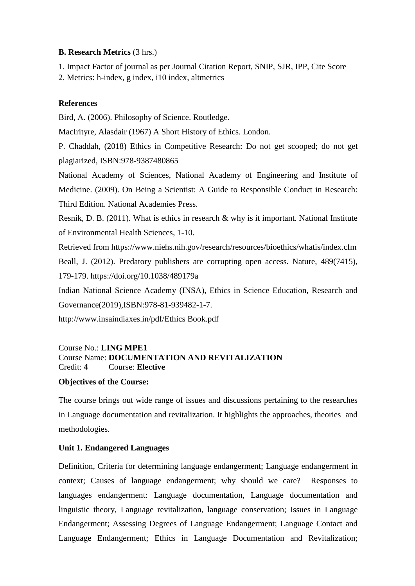## **B. Research Metrics** (3 hrs.)

1. Impact Factor of journal as per Journal Citation Report, SNIP, SJR, IPP, Cite Score

2. Metrics: h-index, g index, i10 index, altmetrics

# **References**

Bird, A. (2006). Philosophy of Science. Routledge.

MacIrityre, Alasdair (1967) A Short History of Ethics. London.

P. Chaddah, (2018) Ethics in Competitive Research: Do not get scooped; do not get plagiarized, ISBN:978-9387480865

National Academy of Sciences, National Academy of Engineering and Institute of Medicine. (2009). On Being a Scientist: A Guide to Responsible Conduct in Research: Third Edition. National Academies Press.

Resnik, D. B. (2011). What is ethics in research & why is it important. National Institute of Environmental Health Sciences, 1-10.

Retrieved from https://www.niehs.nih.gov/research/resources/bioethics/whatis/index.cfm Beall, J. (2012). Predatory publishers are corrupting open access. Nature, 489(7415), 179-179. https://doi.org/10.1038/489179a

Indian National Science Academy (INSA), Ethics in Science Education, Research and Governance(2019),ISBN:978-81-939482-1-7.

http://www.insaindiaxes.in/pdf/Ethics Book.pdf

# Course No.: **LING MPE1** Course Name: **DOCUMENTATION AND REVITALIZATION** Credit: **4** Course: **Elective**

# **Objectives of the Course:**

The course brings out wide range of issues and discussions pertaining to the researches in Language documentation and revitalization. It highlights the approaches, theories and methodologies.

# **Unit 1. Endangered Languages**

Definition, Criteria for determining language endangerment; Language endangerment in context; Causes of language endangerment; why should we care? Responses to languages endangerment: Language documentation, Language documentation and linguistic theory, Language revitalization, language conservation; Issues in Language Endangerment; Assessing Degrees of Language Endangerment; Language Contact and Language Endangerment; Ethics in Language Documentation and Revitalization;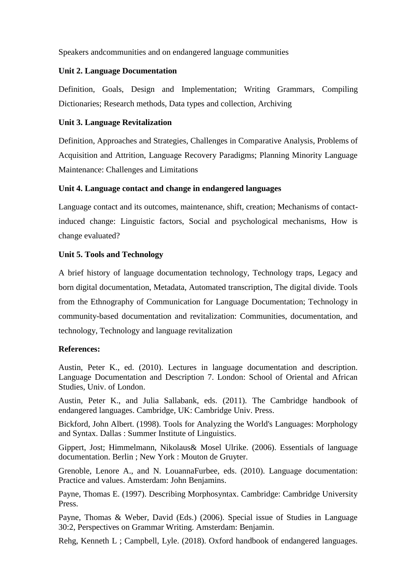Speakers andcommunities and on endangered language communities

# **Unit 2. Language Documentation**

Definition, Goals, Design and Implementation; Writing Grammars, Compiling Dictionaries; Research methods, Data types and collection, Archiving

## **Unit 3. Language Revitalization**

Definition, Approaches and Strategies, Challenges in Comparative Analysis, Problems of Acquisition and Attrition, Language Recovery Paradigms; Planning Minority Language Maintenance: Challenges and Limitations

# **Unit 4. Language contact and change in endangered languages**

Language contact and its outcomes, maintenance, shift, creation; Mechanisms of contactinduced change: Linguistic factors, Social and psychological mechanisms, How is change evaluated?

## **Unit 5. Tools and Technology**

A brief history of language documentation technology, Technology traps, Legacy and born digital documentation, Metadata, Automated transcription, The digital divide. Tools from the Ethnography of Communication for Language Documentation; Technology in community-based documentation and revitalization: Communities, documentation, and technology, Technology and language revitalization

## **References:**

Austin, Peter K., ed. (2010). Lectures in language documentation and description. Language Documentation and Description 7. London: School of Oriental and African Studies, Univ. of London.

Austin, Peter K., and Julia Sallabank, eds. (2011). The Cambridge handbook of endangered languages. Cambridge, UK: Cambridge Univ. Press.

Bickford, John Albert. (1998). Tools for Analyzing the World's Languages: Morphology and Syntax. Dallas : Summer Institute of Linguistics.

Gippert, Jost; Himmelmann, Nikolaus& Mosel Ulrike. (2006). Essentials of language documentation. Berlin ; New York : Mouton de Gruyter.

Grenoble, Lenore A., and N. LouannaFurbee, eds. (2010). Language documentation: Practice and values. Amsterdam: John Benjamins.

Payne, Thomas E. (1997). Describing Morphosyntax. Cambridge: Cambridge University Press.

Payne, Thomas & Weber, David (Eds.) (2006). Special issue of Studies in Language 30:2, Perspectives on Grammar Writing. Amsterdam: Benjamin.

Rehg, Kenneth L ; Campbell, Lyle. (2018). Oxford handbook of endangered languages.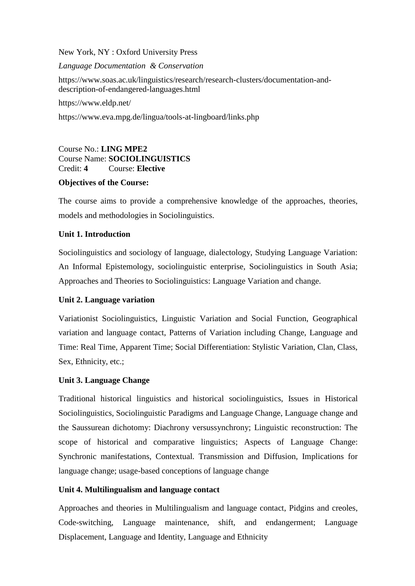New York, NY : Oxford University Press

## *Language Documentation & Conservation*

https://www.soas.ac.uk/linguistics/research/research-clusters/documentation-anddescription-of-endangered-languages.html

https://www.eldp.net/

https://www.eva.mpg.de/lingua/tools-at-lingboard/links.php

Course No.: **LING MPE2** Course Name: **SOCIOLINGUISTICS** Credit: **4** Course: **Elective**

## **Objectives of the Course:**

The course aims to provide a comprehensive knowledge of the approaches, theories, models and methodologies in Sociolinguistics.

## **Unit 1. Introduction**

Sociolinguistics and sociology of language, dialectology, Studying Language Variation: An Informal Epistemology, sociolinguistic enterprise, Sociolinguistics in South Asia; Approaches and Theories to Sociolinguistics: Language Variation and change.

# **Unit 2. Language variation**

Variationist Sociolinguistics, Linguistic Variation and Social Function, Geographical variation and language contact, Patterns of Variation including Change, Language and Time: Real Time, Apparent Time; Social Differentiation: Stylistic Variation, Clan, Class, Sex, Ethnicity, etc.;

# **Unit 3. Language Change**

Traditional historical linguistics and historical sociolinguistics, Issues in Historical Sociolinguistics, Sociolinguistic Paradigms and Language Change, Language change and the Saussurean dichotomy: Diachrony versussynchrony; Linguistic reconstruction: The scope of historical and comparative linguistics; Aspects of Language Change: Synchronic manifestations, Contextual. Transmission and Diffusion, Implications for language change; usage-based conceptions of language change

# **Unit 4. Multilingualism and language contact**

Approaches and theories in Multilingualism and language contact, Pidgins and creoles, Code-switching, Language maintenance, shift, and endangerment; Language Displacement, Language and Identity, Language and Ethnicity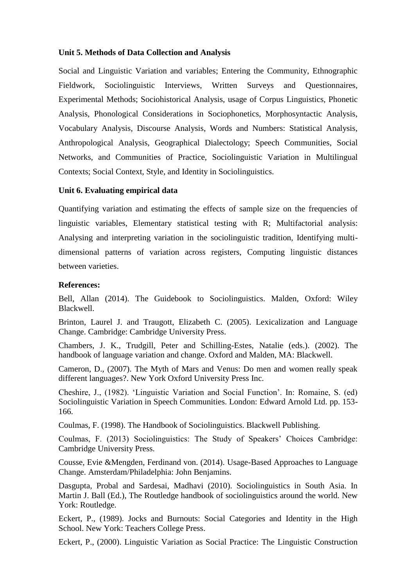## **Unit 5. Methods of Data Collection and Analysis**

Social and Linguistic Variation and variables; Entering the Community, Ethnographic Fieldwork, Sociolinguistic Interviews, Written Surveys and Questionnaires, Experimental Methods; Sociohistorical Analysis, usage of Corpus Linguistics, Phonetic Analysis, Phonological Considerations in Sociophonetics, Morphosyntactic Analysis, Vocabulary Analysis, Discourse Analysis, Words and Numbers: Statistical Analysis, Anthropological Analysis, Geographical Dialectology; Speech Communities, Social Networks, and Communities of Practice, Sociolinguistic Variation in Multilingual Contexts; Social Context, Style, and Identity in Sociolinguistics.

#### **Unit 6. Evaluating empirical data**

Quantifying variation and estimating the effects of sample size on the frequencies of linguistic variables, Elementary statistical testing with R; Multifactorial analysis: Analysing and interpreting variation in the sociolinguistic tradition, Identifying multidimensional patterns of variation across registers, Computing linguistic distances between varieties.

#### **References:**

Bell, Allan (2014). The Guidebook to Sociolinguistics. Malden, Oxford: Wiley Blackwell.

Brinton, Laurel J. and Traugott, Elizabeth C. (2005). Lexicalization and Language Change. Cambridge: Cambridge University Press.

Chambers, J. K., Trudgill, Peter and Schilling-Estes, Natalie (eds.). (2002). The handbook of language variation and change. Oxford and Malden, MA: Blackwell.

Cameron, D., (2007). The Myth of Mars and Venus: Do men and women really speak different languages?. New York Oxford University Press Inc.

Cheshire, J., (1982). 'Linguistic Variation and Social Function'. In: Romaine, S. (ed) Sociolinguistic Variation in Speech Communities. London: Edward Arnold Ltd. pp. 153- 166.

Coulmas, F. (1998). The Handbook of Sociolinguistics. Blackwell Publishing.

Coulmas, F. (2013) Sociolinguistics: The Study of Speakers' Choices Cambridge: Cambridge University Press.

Cousse, Evie &Mengden, Ferdinand von. (2014). Usage-Based Approaches to Language Change. Amsterdam/Philadelphia: John Benjamins.

Dasgupta, Probal and Sardesai, Madhavi (2010). Sociolinguistics in South Asia. In Martin J. Ball (Ed.), The Routledge handbook of sociolinguistics around the world. New York: Routledge.

Eckert, P., (1989). Jocks and Burnouts: Social Categories and Identity in the High School. New York: Teachers College Press.

Eckert, P., (2000). Linguistic Variation as Social Practice: The Linguistic Construction